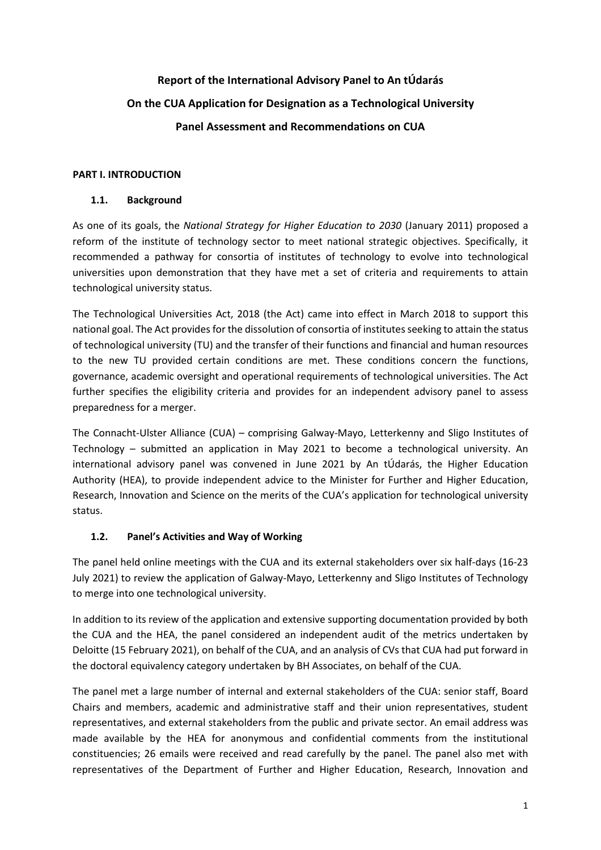# **Report of the International Advisory Panel to An tÚdarás On the CUA Application for Designation as a Technological University Panel Assessment and Recommendations on CUA**

## **PART I. INTRODUCTION**

## **1.1. Background**

As one of its goals, the *National Strategy for Higher Education to 2030* (January 2011) proposed a reform of the institute of technology sector to meet national strategic objectives. Specifically, it recommended a pathway for consortia of institutes of technology to evolve into technological universities upon demonstration that they have met a set of criteria and requirements to attain technological university status.

The Technological Universities Act, 2018 (the Act) came into effect in March 2018 to support this national goal. The Act provides for the dissolution of consortia of institutes seeking to attain the status of technological university (TU) and the transfer of their functions and financial and human resources to the new TU provided certain conditions are met. These conditions concern the functions, governance, academic oversight and operational requirements of technological universities. The Act further specifies the eligibility criteria and provides for an independent advisory panel to assess preparedness for a merger.

The Connacht-Ulster Alliance (CUA) – comprising Galway-Mayo, Letterkenny and Sligo Institutes of Technology – submitted an application in May 2021 to become a technological university. An international advisory panel was convened in June 2021 by An tÚdarás, the Higher Education Authority (HEA), to provide independent advice to the Minister for Further and Higher Education, Research, Innovation and Science on the merits of the CUA's application for technological university status.

# **1.2. Panel's Activities and Way of Working**

The panel held online meetings with the CUA and its external stakeholders over six half-days (16-23 July 2021) to review the application of Galway-Mayo, Letterkenny and Sligo Institutes of Technology to merge into one technological university.

In addition to its review of the application and extensive supporting documentation provided by both the CUA and the HEA, the panel considered an independent audit of the metrics undertaken by Deloitte (15 February 2021), on behalf of the CUA, and an analysis of CVs that CUA had put forward in the doctoral equivalency category undertaken by BH Associates, on behalf of the CUA.

The panel met a large number of internal and external stakeholders of the CUA: senior staff, Board Chairs and members, academic and administrative staff and their union representatives, student representatives, and external stakeholders from the public and private sector. An email address was made available by the HEA for anonymous and confidential comments from the institutional constituencies; 26 emails were received and read carefully by the panel. The panel also met with representatives of the Department of Further and Higher Education, Research, Innovation and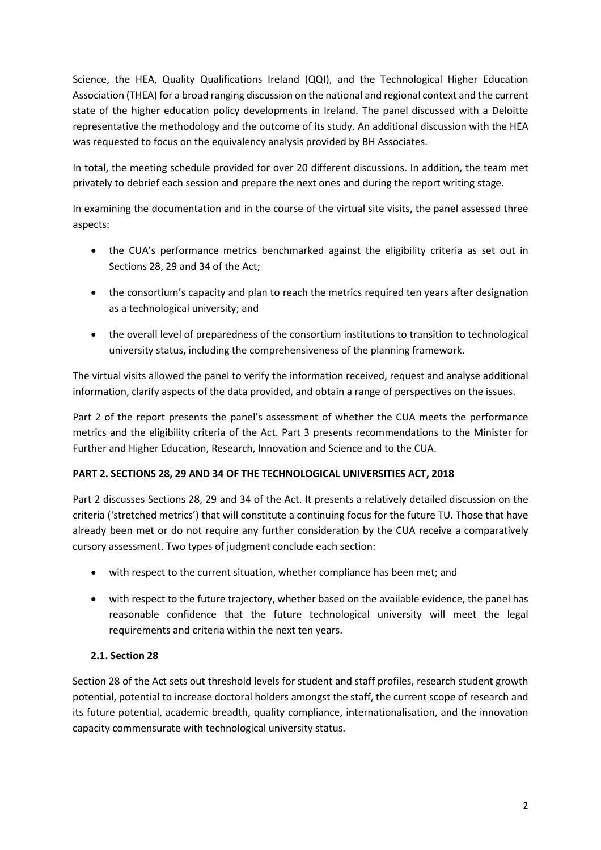Science, the HEA, Quality Qualifications Ireland (QQI), and the Technological Higher Education Association (THEA) for a broad ranging discussion on the national and regional context and the current state of the higher education policy developments in Ireland. The panel discussed with a Deloitte representative the methodology and the outcome of its study. An additional discussion with the HEA was requested to focus on the equivalency analysis provided by BH Associates.

In total, the meeting schedule provided for over 20 different discussions. In addition, the team met privately to debrief each session and prepare the next ones and during the report writing stage.

In examining the documentation and in the course of the virtual site visits, the panel assessed three aspects:

- the CUA's performance metrics benchmarked against the eligibility criteria as set out in Sections 28, 29 and 34 of the Act;
- the consortium's capacity and plan to reach the metrics required ten years after designation as a technological university; and
- the overall level of preparedness of the consortium institutions to transition to technological university status, including the comprehensiveness of the planning framework.

The virtual visits allowed the panel to verify the information received, request and analyse additional information, clarify aspects of the data provided, and obtain a range of perspectives on the issues.

Part 2 of the report presents the panel's assessment of whether the CUA meets the performance metrics and the eligibility criteria of the Act. Part 3 presents recommendations to the Minister for Further and Higher Education, Research, Innovation and Science and to the CUA.

# **PART 2. SECTIONS 28, 29 AND 34 OF THE TECHNOLOGICAL UNIVERSITIES ACT, 2018**

Part 2 discusses Sections 28, 29 and 34 of the Act. It presents a relatively detailed discussion on the criteria ('stretched metrics') that will constitute a continuing focus for the future TU. Those that have already been met or do not require any further consideration by the CUA receive a comparatively cursory assessment. Two types of judgment conclude each section:

- with respect to the current situation, whether compliance has been met; and
- with respect to the future trajectory, whether based on the available evidence, the panel has reasonable confidence that the future technological university will meet the legal requirements and criteria within the next ten years.

## **2.1. Section 28**

Section 28 of the Act sets out threshold levels for student and staff profiles, research student growth potential, potential to increase doctoral holders amongst the staff, the current scope of research and its future potential, academic breadth, quality compliance, internationalisation, and the innovation capacity commensurate with technological university status.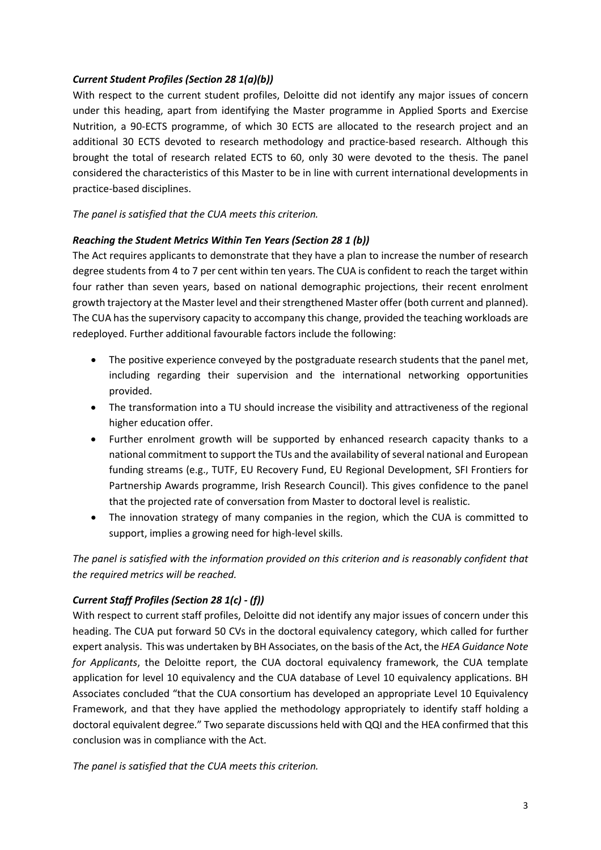## *Current Student Profiles (Section 28 1(a)(b))*

With respect to the current student profiles, Deloitte did not identify any major issues of concern under this heading, apart from identifying the Master programme in Applied Sports and Exercise Nutrition, a 90-ECTS programme, of which 30 ECTS are allocated to the research project and an additional 30 ECTS devoted to research methodology and practice-based research. Although this brought the total of research related ECTS to 60, only 30 were devoted to the thesis. The panel considered the characteristics of this Master to be in line with current international developments in practice-based disciplines.

*The panel is satisfied that the CUA meets this criterion.* 

## *Reaching the Student Metrics Within Ten Years (Section 28 1 (b))*

The Act requires applicants to demonstrate that they have a plan to increase the number of research degree students from 4 to 7 per cent within ten years. The CUA is confident to reach the target within four rather than seven years, based on national demographic projections, their recent enrolment growth trajectory at the Master level and their strengthened Master offer (both current and planned). The CUA has the supervisory capacity to accompany this change, provided the teaching workloads are redeployed. Further additional favourable factors include the following:

- The positive experience conveyed by the postgraduate research students that the panel met, including regarding their supervision and the international networking opportunities provided.
- The transformation into a TU should increase the visibility and attractiveness of the regional higher education offer.
- Further enrolment growth will be supported by enhanced research capacity thanks to a national commitment to support the TUs and the availability of several national and European funding streams (e.g., TUTF, EU Recovery Fund, EU Regional Development, SFI Frontiers for Partnership Awards programme, Irish Research Council). This gives confidence to the panel that the projected rate of conversation from Master to doctoral level is realistic.
- The innovation strategy of many companies in the region, which the CUA is committed to support, implies a growing need for high-level skills.

*The panel is satisfied with the information provided on this criterion and is reasonably confident that the required metrics will be reached.* 

## *Current Staff Profiles (Section 28 1(c) - (f))*

With respect to current staff profiles, Deloitte did not identify any major issues of concern under this heading. The CUA put forward 50 CVs in the doctoral equivalency category, which called for further expert analysis. This was undertaken by BH Associates, on the basis of the Act, the *HEA Guidance Note for Applicants*, the Deloitte report, the CUA doctoral equivalency framework, the CUA template application for level 10 equivalency and the CUA database of Level 10 equivalency applications. BH Associates concluded "that the CUA consortium has developed an appropriate Level 10 Equivalency Framework, and that they have applied the methodology appropriately to identify staff holding a doctoral equivalent degree." Two separate discussions held with QQI and the HEA confirmed that this conclusion was in compliance with the Act.

*The panel is satisfied that the CUA meets this criterion.*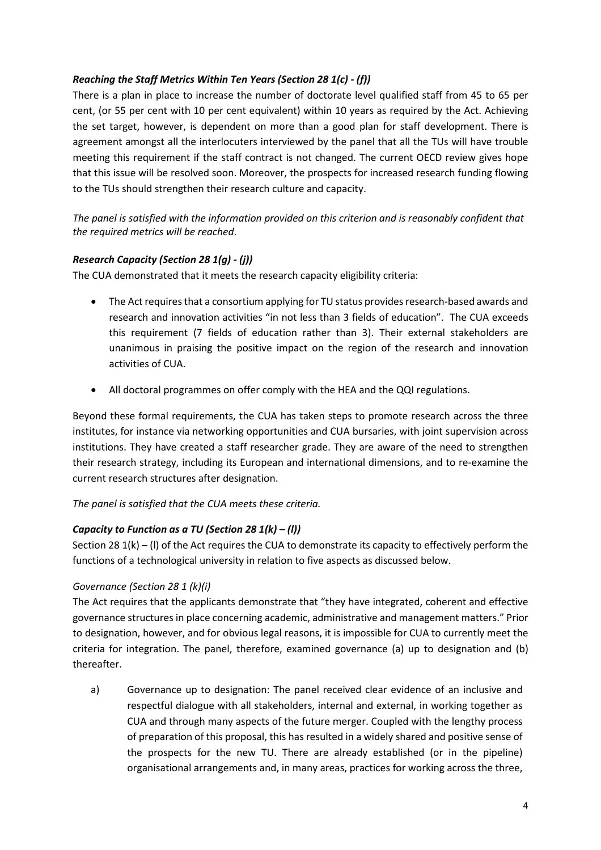## *Reaching the Staff Metrics Within Ten Years (Section 28 1(c) - (f))*

There is a plan in place to increase the number of doctorate level qualified staff from 45 to 65 per cent, (or 55 per cent with 10 per cent equivalent) within 10 years as required by the Act. Achieving the set target, however, is dependent on more than a good plan for staff development. There is agreement amongst all the interlocuters interviewed by the panel that all the TUs will have trouble meeting this requirement if the staff contract is not changed. The current OECD review gives hope that this issue will be resolved soon. Moreover, the prospects for increased research funding flowing to the TUs should strengthen their research culture and capacity.

*The panel is satisfied with the information provided on this criterion and is reasonably confident that the required metrics will be reached*.

## *Research Capacity (Section 28 1(g) - (j))*

The CUA demonstrated that it meets the research capacity eligibility criteria:

- The Act requires that a consortium applying for TU status provides research-based awards and research and innovation activities "in not less than 3 fields of education". The CUA exceeds this requirement (7 fields of education rather than 3). Their external stakeholders are unanimous in praising the positive impact on the region of the research and innovation activities of CUA.
- All doctoral programmes on offer comply with the HEA and the QQI regulations.

Beyond these formal requirements, the CUA has taken steps to promote research across the three institutes, for instance via networking opportunities and CUA bursaries, with joint supervision across institutions. They have created a staff researcher grade. They are aware of the need to strengthen their research strategy, including its European and international dimensions, and to re-examine the current research structures after designation.

*The panel is satisfied that the CUA meets these criteria.* 

## *Capacity to Function as a TU (Section 28 1(k) – (l))*

Section 28 1(k) – (l) of the Act requires the CUA to demonstrate its capacity to effectively perform the functions of a technological university in relation to five aspects as discussed below.

## *Governance (Section 28 1 (k)(i)*

The Act requires that the applicants demonstrate that "they have integrated, coherent and effective governance structures in place concerning academic, administrative and management matters." Prior to designation, however, and for obvious legal reasons, it is impossible for CUA to currently meet the criteria for integration. The panel, therefore, examined governance (a) up to designation and (b) thereafter.

a) Governance up to designation: The panel received clear evidence of an inclusive and respectful dialogue with all stakeholders, internal and external, in working together as CUA and through many aspects of the future merger. Coupled with the lengthy process of preparation of this proposal, this has resulted in a widely shared and positive sense of the prospects for the new TU. There are already established (or in the pipeline) organisational arrangements and, in many areas, practices for working across the three,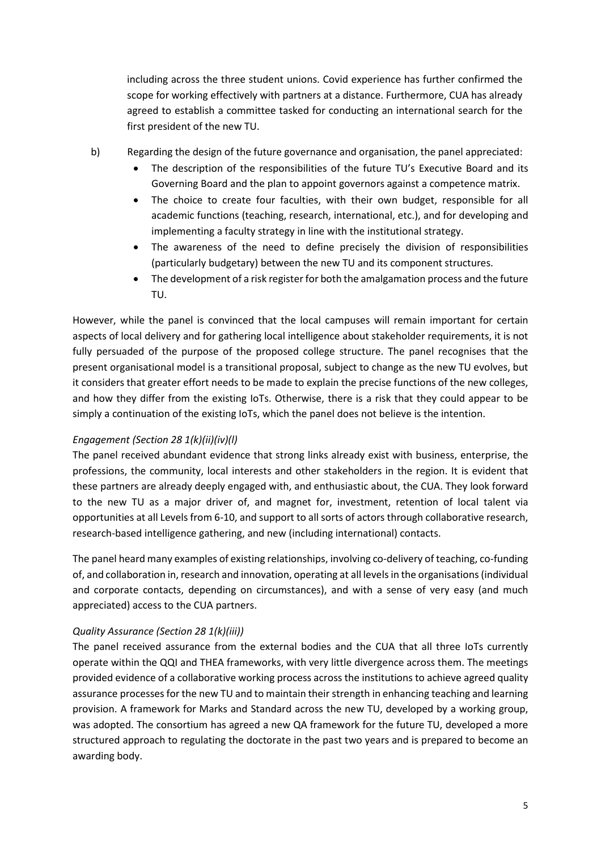including across the three student unions. Covid experience has further confirmed the scope for working effectively with partners at a distance. Furthermore, CUA has already agreed to establish a committee tasked for conducting an international search for the first president of the new TU.

- b) Regarding the design of the future governance and organisation, the panel appreciated:
	- The description of the responsibilities of the future TU's Executive Board and its Governing Board and the plan to appoint governors against a competence matrix.
	- The choice to create four faculties, with their own budget, responsible for all academic functions (teaching, research, international, etc.), and for developing and implementing a faculty strategy in line with the institutional strategy.
	- The awareness of the need to define precisely the division of responsibilities (particularly budgetary) between the new TU and its component structures.
	- The development of a risk register for both the amalgamation process and the future TU.

However, while the panel is convinced that the local campuses will remain important for certain aspects of local delivery and for gathering local intelligence about stakeholder requirements, it is not fully persuaded of the purpose of the proposed college structure. The panel recognises that the present organisational model is a transitional proposal, subject to change as the new TU evolves, but it considers that greater effort needs to be made to explain the precise functions of the new colleges, and how they differ from the existing IoTs. Otherwise, there is a risk that they could appear to be simply a continuation of the existing IoTs, which the panel does not believe is the intention.

# *Engagement (Section 28 1(k)(ii)(iv)(l)*

The panel received abundant evidence that strong links already exist with business, enterprise, the professions, the community, local interests and other stakeholders in the region. It is evident that these partners are already deeply engaged with, and enthusiastic about, the CUA. They look forward to the new TU as a major driver of, and magnet for, investment, retention of local talent via opportunities at all Levels from 6-10, and support to all sorts of actors through collaborative research, research-based intelligence gathering, and new (including international) contacts.

The panel heard many examples of existing relationships, involving co-delivery of teaching, co-funding of, and collaboration in, research and innovation, operating at all levels in the organisations (individual and corporate contacts, depending on circumstances), and with a sense of very easy (and much appreciated) access to the CUA partners.

# *Quality Assurance (Section 28 1(k)(iii))*

The panel received assurance from the external bodies and the CUA that all three IoTs currently operate within the QQI and THEA frameworks, with very little divergence across them. The meetings provided evidence of a collaborative working process across the institutions to achieve agreed quality assurance processes for the new TU and to maintain their strength in enhancing teaching and learning provision. A framework for Marks and Standard across the new TU, developed by a working group, was adopted. The consortium has agreed a new QA framework for the future TU, developed a more structured approach to regulating the doctorate in the past two years and is prepared to become an awarding body.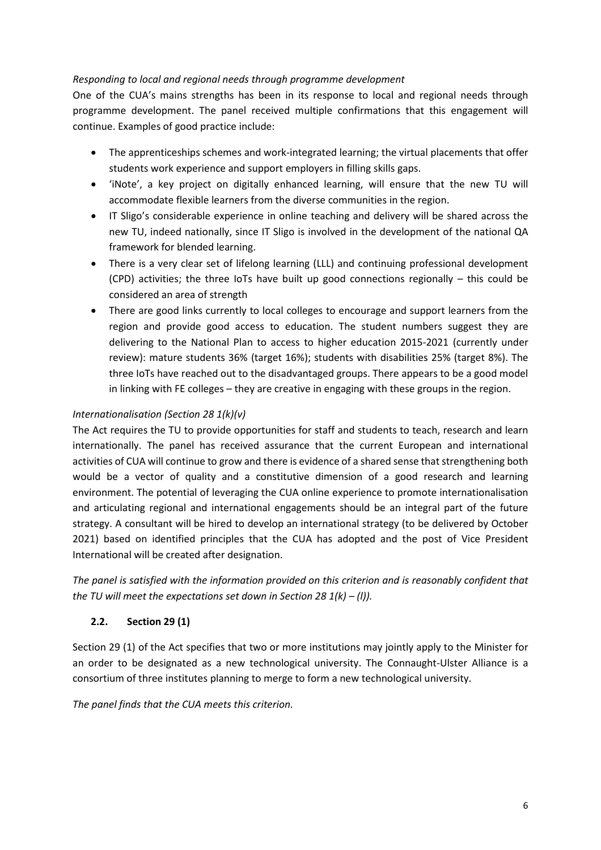## *Responding to local and regional needs through programme development*

One of the CUA's mains strengths has been in its response to local and regional needs through programme development. The panel received multiple confirmations that this engagement will continue. Examples of good practice include:

- The apprenticeships schemes and work-integrated learning; the virtual placements that offer students work experience and support employers in filling skills gaps.
- 'iNote', a key project on digitally enhanced learning, will ensure that the new TU will accommodate flexible learners from the diverse communities in the region.
- IT Sligo's considerable experience in online teaching and delivery will be shared across the new TU, indeed nationally, since IT Sligo is involved in the development of the national QA framework for blended learning.
- There is a very clear set of lifelong learning (LLL) and continuing professional development (CPD) activities; the three IoTs have built up good connections regionally – this could be considered an area of strength
- There are good links currently to local colleges to encourage and support learners from the region and provide good access to education. The student numbers suggest they are delivering to the National Plan to access to higher education 2015-2021 (currently under review): mature students 36% (target 16%); students with disabilities 25% (target 8%). The three IoTs have reached out to the disadvantaged groups. There appears to be a good model in linking with FE colleges – they are creative in engaging with these groups in the region.

# *Internationalisation (Section 28 1(k)(v)*

The Act requires the TU to provide opportunities for staff and students to teach, research and learn internationally. The panel has received assurance that the current European and international activities of CUA will continue to grow and there is evidence of a shared sense that strengthening both would be a vector of quality and a constitutive dimension of a good research and learning environment. The potential of leveraging the CUA online experience to promote internationalisation and articulating regional and international engagements should be an integral part of the future strategy. A consultant will be hired to develop an international strategy (to be delivered by October 2021) based on identified principles that the CUA has adopted and the post of Vice President International will be created after designation.

*The panel is satisfied with the information provided on this criterion and is reasonably confident that the TU will meet the expectations set down in Section 28 1(k) – (l)).* 

# **2.2. Section 29 (1)**

Section 29 (1) of the Act specifies that two or more institutions may jointly apply to the Minister for an order to be designated as a new technological university. The Connaught-Ulster Alliance is a consortium of three institutes planning to merge to form a new technological university.

*The panel finds that the CUA meets this criterion.*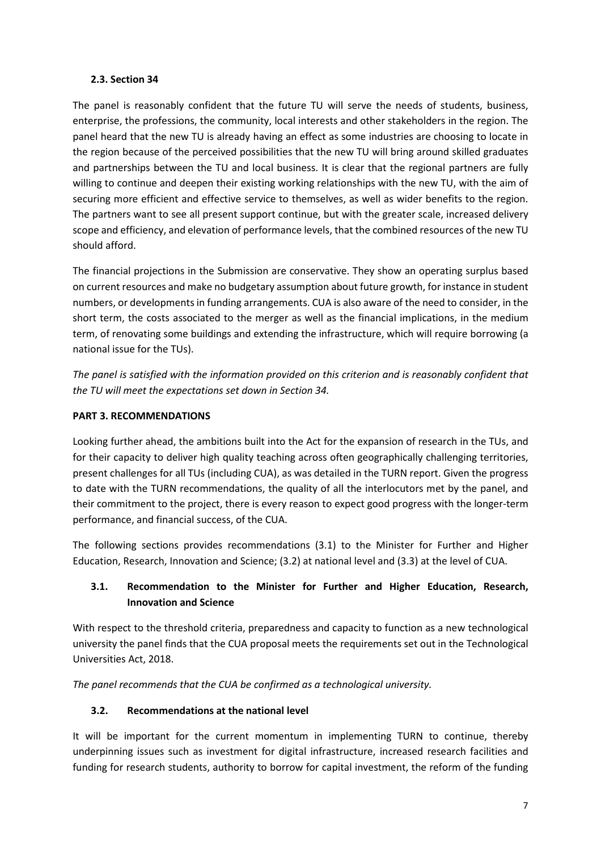#### **2.3. Section 34**

The panel is reasonably confident that the future TU will serve the needs of students, business, enterprise, the professions, the community, local interests and other stakeholders in the region. The panel heard that the new TU is already having an effect as some industries are choosing to locate in the region because of the perceived possibilities that the new TU will bring around skilled graduates and partnerships between the TU and local business. It is clear that the regional partners are fully willing to continue and deepen their existing working relationships with the new TU, with the aim of securing more efficient and effective service to themselves, as well as wider benefits to the region. The partners want to see all present support continue, but with the greater scale, increased delivery scope and efficiency, and elevation of performance levels, that the combined resources of the new TU should afford.

The financial projections in the Submission are conservative. They show an operating surplus based on current resources and make no budgetary assumption about future growth, for instance in student numbers, or developments in funding arrangements. CUA is also aware of the need to consider, in the short term, the costs associated to the merger as well as the financial implications, in the medium term, of renovating some buildings and extending the infrastructure, which will require borrowing (a national issue for the TUs).

*The panel is satisfied with the information provided on this criterion and is reasonably confident that the TU will meet the expectations set down in Section 34.* 

## **PART 3. RECOMMENDATIONS**

Looking further ahead, the ambitions built into the Act for the expansion of research in the TUs, and for their capacity to deliver high quality teaching across often geographically challenging territories, present challenges for all TUs (including CUA), as was detailed in the TURN report. Given the progress to date with the TURN recommendations, the quality of all the interlocutors met by the panel, and their commitment to the project, there is every reason to expect good progress with the longer-term performance, and financial success, of the CUA.

The following sections provides recommendations (3.1) to the Minister for Further and Higher Education, Research, Innovation and Science; (3.2) at national level and (3.3) at the level of CUA.

# **3.1. Recommendation to the Minister for Further and Higher Education, Research, Innovation and Science**

With respect to the threshold criteria, preparedness and capacity to function as a new technological university the panel finds that the CUA proposal meets the requirements set out in the Technological Universities Act, 2018.

*The panel recommends that the CUA be confirmed as a technological university.*

# **3.2. Recommendations at the national level**

It will be important for the current momentum in implementing TURN to continue, thereby underpinning issues such as investment for digital infrastructure, increased research facilities and funding for research students, authority to borrow for capital investment, the reform of the funding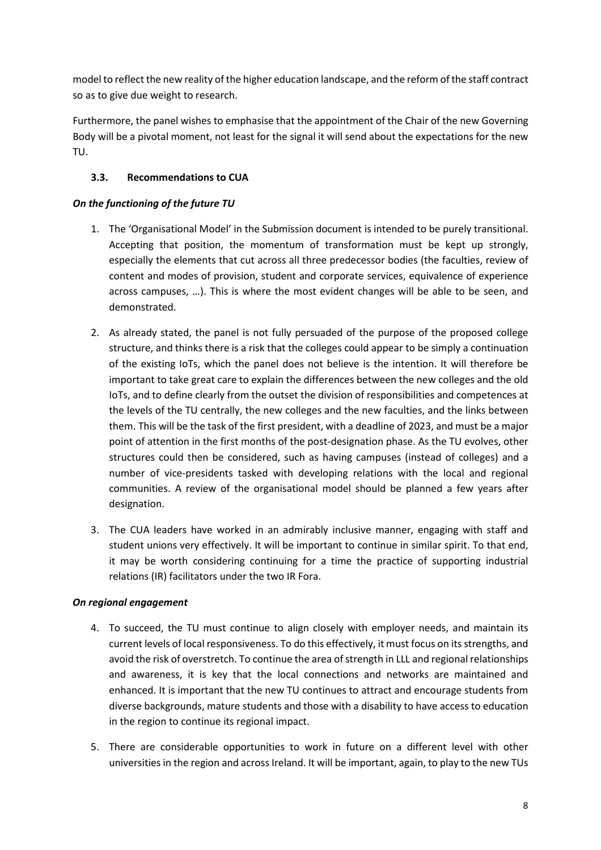model to reflect the new reality of the higher education landscape, and the reform of the staff contract so as to give due weight to research.

Furthermore, the panel wishes to emphasise that the appointment of the Chair of the new Governing Body will be a pivotal moment, not least for the signal it will send about the expectations for the new TU.

## **3.3. Recommendations to CUA**

## *On the functioning of the future TU*

- 1. The 'Organisational Model' in the Submission document is intended to be purely transitional. Accepting that position, the momentum of transformation must be kept up strongly, especially the elements that cut across all three predecessor bodies (the faculties, review of content and modes of provision, student and corporate services, equivalence of experience across campuses, …). This is where the most evident changes will be able to be seen, and demonstrated.
- 2. As already stated, the panel is not fully persuaded of the purpose of the proposed college structure, and thinks there is a risk that the colleges could appear to be simply a continuation of the existing IoTs, which the panel does not believe is the intention. It will therefore be important to take great care to explain the differences between the new colleges and the old IoTs, and to define clearly from the outset the division of responsibilities and competences at the levels of the TU centrally, the new colleges and the new faculties, and the links between them. This will be the task of the first president, with a deadline of 2023, and must be a major point of attention in the first months of the post-designation phase. As the TU evolves, other structures could then be considered, such as having campuses (instead of colleges) and a number of vice-presidents tasked with developing relations with the local and regional communities. A review of the organisational model should be planned a few years after designation.
- 3. The CUA leaders have worked in an admirably inclusive manner, engaging with staff and student unions very effectively. It will be important to continue in similar spirit. To that end, it may be worth considering continuing for a time the practice of supporting industrial relations (IR) facilitators under the two IR Fora.

## *On regional engagement*

- 4. To succeed, the TU must continue to align closely with employer needs, and maintain its current levels of local responsiveness. To do this effectively, it must focus on its strengths, and avoid the risk of overstretch. To continue the area of strength in LLL and regional relationships and awareness, it is key that the local connections and networks are maintained and enhanced. It is important that the new TU continues to attract and encourage students from diverse backgrounds, mature students and those with a disability to have access to education in the region to continue its regional impact.
- 5. There are considerable opportunities to work in future on a different level with other universities in the region and across Ireland. It will be important, again, to play to the new TUs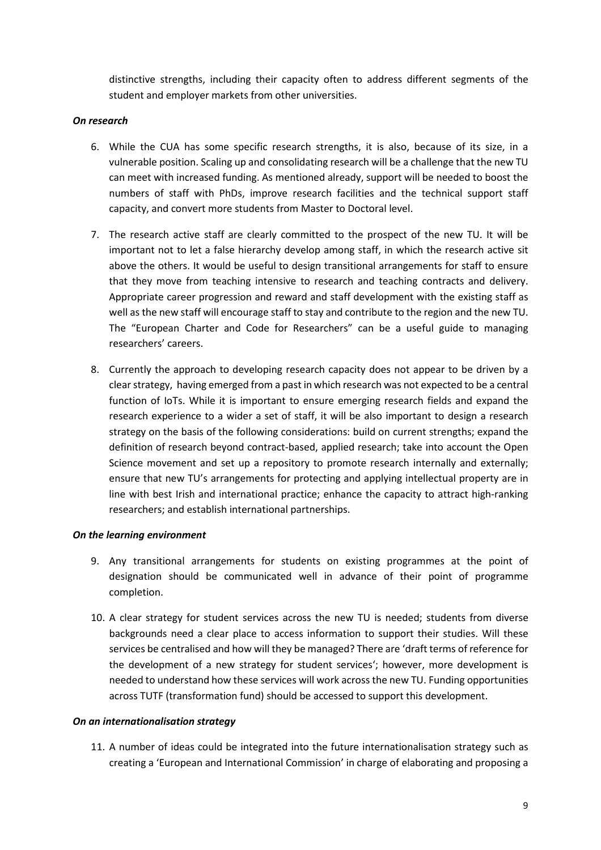distinctive strengths, including their capacity often to address different segments of the student and employer markets from other universities.

#### *On research*

- 6. While the CUA has some specific research strengths, it is also, because of its size, in a vulnerable position. Scaling up and consolidating research will be a challenge that the new TU can meet with increased funding. As mentioned already, support will be needed to boost the numbers of staff with PhDs, improve research facilities and the technical support staff capacity, and convert more students from Master to Doctoral level.
- 7. The research active staff are clearly committed to the prospect of the new TU. It will be important not to let a false hierarchy develop among staff, in which the research active sit above the others. It would be useful to design transitional arrangements for staff to ensure that they move from teaching intensive to research and teaching contracts and delivery. Appropriate career progression and reward and staff development with the existing staff as well as the new staff will encourage staff to stay and contribute to the region and the new TU. The "European Charter and Code for Researchers" can be a useful guide to managing researchers' careers.
- 8. Currently the approach to developing research capacity does not appear to be driven by a clear strategy, having emerged from a past in which research was not expected to be a central function of IoTs. While it is important to ensure emerging research fields and expand the research experience to a wider a set of staff, it will be also important to design a research strategy on the basis of the following considerations: build on current strengths; expand the definition of research beyond contract-based, applied research; take into account the Open Science movement and set up a repository to promote research internally and externally; ensure that new TU's arrangements for protecting and applying intellectual property are in line with best Irish and international practice; enhance the capacity to attract high-ranking researchers; and establish international partnerships.

#### *On the learning environment*

- 9. Any transitional arrangements for students on existing programmes at the point of designation should be communicated well in advance of their point of programme completion.
- 10. A clear strategy for student services across the new TU is needed; students from diverse backgrounds need a clear place to access information to support their studies. Will these services be centralised and how will they be managed? There are 'draft terms of reference for the development of a new strategy for student services'; however, more development is needed to understand how these services will work across the new TU. Funding opportunities across TUTF (transformation fund) should be accessed to support this development.

#### *On an internationalisation strategy*

11. A number of ideas could be integrated into the future internationalisation strategy such as creating a 'European and International Commission' in charge of elaborating and proposing a